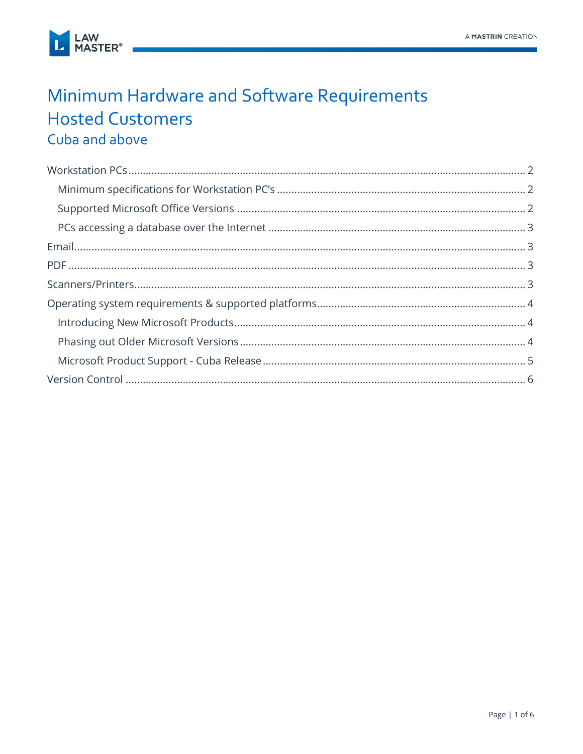

## Minimum Hardware and Software Requirements **Hosted Customers** Cuba and above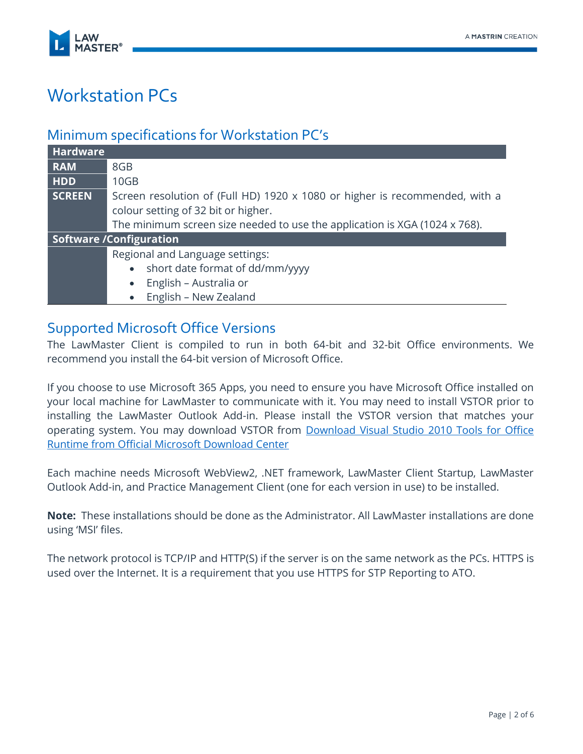

# <span id="page-1-0"></span>Workstation PCs

### <span id="page-1-1"></span>Minimum specifications for Workstation PC's

| <b>Hardware</b>                |                                                                             |  |  |  |
|--------------------------------|-----------------------------------------------------------------------------|--|--|--|
| <b>RAM</b>                     | 8GB                                                                         |  |  |  |
| <b>HDD</b>                     | 10 <sub>GB</sub>                                                            |  |  |  |
| SCREEN                         | Screen resolution of (Full HD) 1920 x 1080 or higher is recommended, with a |  |  |  |
|                                | colour setting of 32 bit or higher.                                         |  |  |  |
|                                | The minimum screen size needed to use the application is XGA (1024 x 768).  |  |  |  |
| <b>Software /Configuration</b> |                                                                             |  |  |  |
|                                | Regional and Language settings:                                             |  |  |  |
|                                | short date format of dd/mm/yyyy<br>$\bullet$                                |  |  |  |
|                                | English - Australia or<br>$\bullet$                                         |  |  |  |
|                                | English - New Zealand<br>$\bullet$                                          |  |  |  |

#### <span id="page-1-2"></span>Supported Microsoft Office Versions

The LawMaster Client is compiled to run in both 64-bit and 32-bit Office environments. We recommend you install the 64-bit version of Microsoft Office.

If you choose to use Microsoft 365 Apps, you need to ensure you have Microsoft Office installed on your local machine for LawMaster to communicate with it. You may need to install VSTOR prior to installing the LawMaster Outlook Add-in. Please install the VSTOR version that matches your operating system. You may download VSTOR from [Download Visual Studio 2010 Tools for Office](https://www.microsoft.com/en-us/download/confirmation.aspx?id=56961)  [Runtime from Official Microsoft Download Center](https://www.microsoft.com/en-us/download/confirmation.aspx?id=56961)

Each machine needs Microsoft WebView2, .NET framework, LawMaster Client Startup, LawMaster Outlook Add-in, and Practice Management Client (one for each version in use) to be installed.

**Note:** These installations should be done as the Administrator. All LawMaster installations are done using 'MSI' files.

The network protocol is TCP/IP and HTTP(S) if the server is on the same network as the PCs. HTTPS is used over the Internet. It is a requirement that you use HTTPS for STP Reporting to ATO.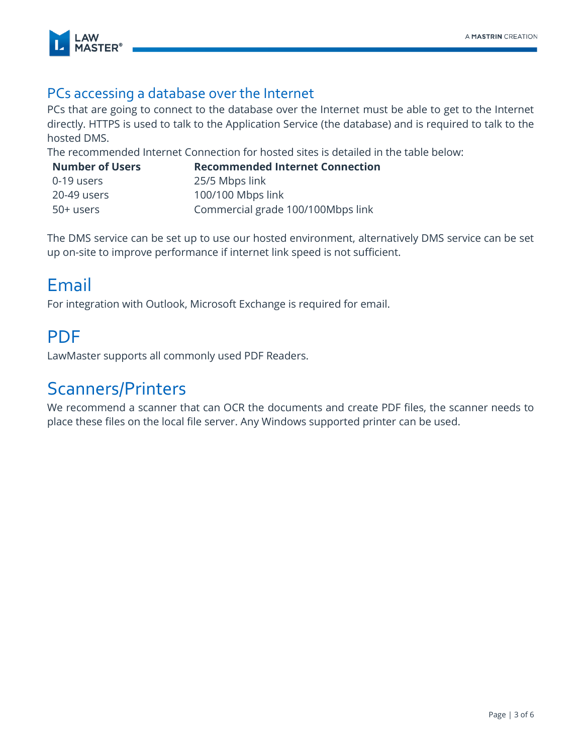

### <span id="page-2-0"></span>PCs accessing a database over the Internet

PCs that are going to connect to the database over the Internet must be able to get to the Internet directly. HTTPS is used to talk to the Application Service (the database) and is required to talk to the hosted DMS.

The recommended Internet Connection for hosted sites is detailed in the table below:

| <b>Number of Users</b> | <b>Recommended Internet Connection</b> |
|------------------------|----------------------------------------|
| 0-19 users             | 25/5 Mbps link                         |
| 20-49 users            | 100/100 Mbps link                      |
| 50+ users              | Commercial grade 100/100Mbps link      |

The DMS service can be set up to use our hosted environment, alternatively DMS service can be set up on-site to improve performance if internet link speed is not sufficient.

### <span id="page-2-1"></span>Email

For integration with Outlook, Microsoft Exchange is required for email.

## <span id="page-2-2"></span>PDF

LawMaster supports all commonly used PDF Readers.

### <span id="page-2-3"></span>Scanners/Printers

We recommend a scanner that can OCR the documents and create PDF files, the scanner needs to place these files on the local file server. Any Windows supported printer can be used.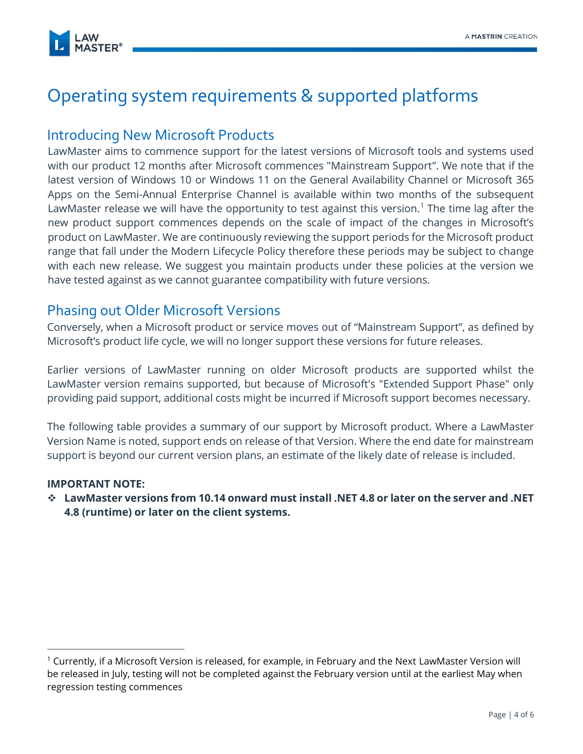

# <span id="page-3-0"></span>Operating system requirements & supported platforms

### <span id="page-3-1"></span>Introducing New Microsoft Products

LawMaster aims to commence support for the latest versions of Microsoft tools and systems used with our product 12 months after Microsoft commences "Mainstream Support". We note that if the latest version of Windows 10 or Windows 11 on the General Availability Channel or Microsoft 365 Apps on the Semi-Annual Enterprise Channel is available within two months of the subsequent LawMaster release we will have the opportunity to test against this version.<sup>1</sup> The time lag after the new product support commences depends on the scale of impact of the changes in Microsoft's product on LawMaster. We are continuously reviewing the support periods for the Microsoft product range that fall under the Modern Lifecycle Policy therefore these periods may be subject to change with each new release. We suggest you maintain products under these policies at the version we have tested against as we cannot guarantee compatibility with future versions.

### <span id="page-3-2"></span>Phasing out Older Microsoft Versions

Conversely, when a Microsoft product or service moves out of "Mainstream Support", as defined by Microsoft's product life cycle, we will no longer support these versions for future releases.

Earlier versions of LawMaster running on older Microsoft products are supported whilst the LawMaster version remains supported, but because of Microsoft's "Extended Support Phase" only providing paid support, additional costs might be incurred if Microsoft support becomes necessary.

The following table provides a summary of our support by Microsoft product. Where a LawMaster Version Name is noted, support ends on release of that Version. Where the end date for mainstream support is beyond our current version plans, an estimate of the likely date of release is included.

#### **IMPORTANT NOTE:**

❖ **LawMaster versions from 10.14 onward must install .NET 4.8 or later on the server and .NET 4.8 (runtime) or later on the client systems.**

<sup>1</sup> Currently, if a Microsoft Version is released, for example, in February and the Next LawMaster Version will be released in July, testing will not be completed against the February version until at the earliest May when regression testing commences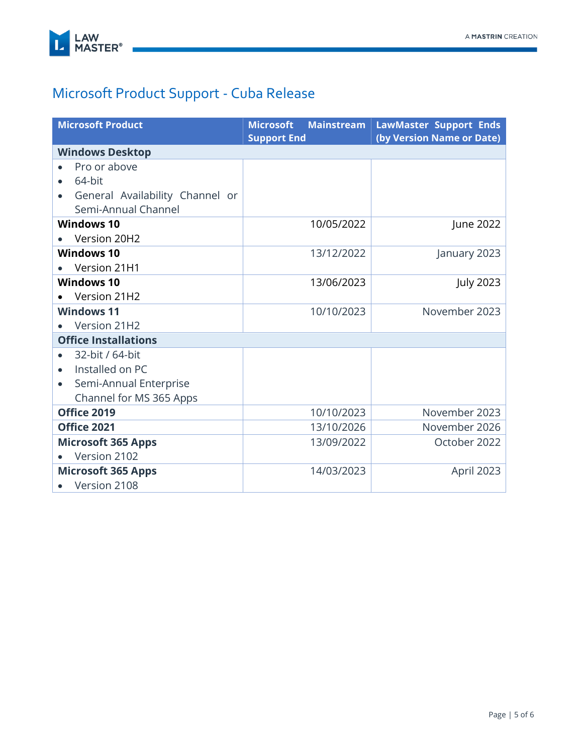

## <span id="page-4-0"></span>Microsoft Product Support - Cuba Release

| <b>Microsoft Product</b>                                                  | <b>Mainstream</b><br><b>Microsoft</b> | <b>LawMaster Support Ends</b> |  |  |  |
|---------------------------------------------------------------------------|---------------------------------------|-------------------------------|--|--|--|
| (by Version Name or Date)<br><b>Support End</b><br><b>Windows Desktop</b> |                                       |                               |  |  |  |
| Pro or above                                                              |                                       |                               |  |  |  |
| 64-bit<br>$\bullet$                                                       |                                       |                               |  |  |  |
| General Availability Channel or                                           |                                       |                               |  |  |  |
| Semi-Annual Channel                                                       |                                       |                               |  |  |  |
| <b>Windows 10</b>                                                         | 10/05/2022                            | June 2022                     |  |  |  |
| Version 20H2                                                              |                                       |                               |  |  |  |
| <b>Windows 10</b>                                                         | 13/12/2022                            | January 2023                  |  |  |  |
| Version 21H1                                                              |                                       |                               |  |  |  |
| <b>Windows 10</b>                                                         | 13/06/2023                            | <b>July 2023</b>              |  |  |  |
| Version 21H2                                                              |                                       |                               |  |  |  |
| <b>Windows 11</b>                                                         | 10/10/2023                            | November 2023                 |  |  |  |
| Version 21H2                                                              |                                       |                               |  |  |  |
| <b>Office Installations</b>                                               |                                       |                               |  |  |  |
| 32-bit / 64-bit                                                           |                                       |                               |  |  |  |
| Installed on PC                                                           |                                       |                               |  |  |  |
| Semi-Annual Enterprise<br>$\bullet$                                       |                                       |                               |  |  |  |
| Channel for MS 365 Apps                                                   |                                       |                               |  |  |  |
| Office 2019                                                               | 10/10/2023                            | November 2023                 |  |  |  |
| Office 2021                                                               | 13/10/2026                            | November 2026                 |  |  |  |
| <b>Microsoft 365 Apps</b>                                                 | 13/09/2022                            | October 2022                  |  |  |  |
| Version 2102                                                              |                                       |                               |  |  |  |
| <b>Microsoft 365 Apps</b>                                                 | 14/03/2023                            | April 2023                    |  |  |  |
| Version 2108                                                              |                                       |                               |  |  |  |